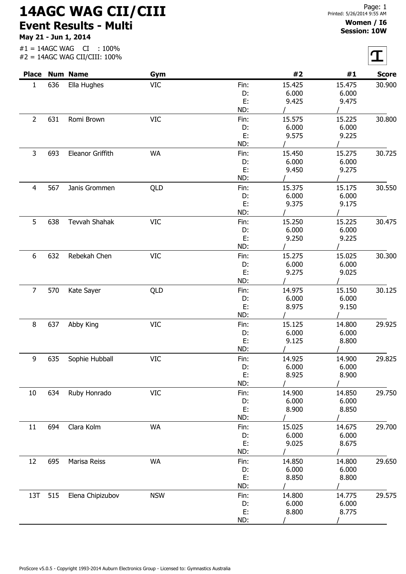## 14AGC WAG CII/CIII Event Results - Multi

May 21 - Jun 1, 2014

## Women / I6 Session: 10W

 $\overline{r}$ 

| <b>Place</b>   |     | <b>Num Name</b>      | Gym        |          | #2     | #1     | <b>Score</b> |
|----------------|-----|----------------------|------------|----------|--------|--------|--------------|
| $\mathbf{1}$   | 636 | Ella Hughes          | <b>VIC</b> | Fin:     | 15.425 | 15.475 | 30.900       |
|                |     |                      |            | D:       | 6.000  | 6.000  |              |
|                |     |                      |            | E:       | 9.425  | 9.475  |              |
|                |     |                      |            | ND:      |        |        |              |
| $\overline{2}$ | 631 | Romi Brown           | <b>VIC</b> | Fin:     | 15.575 | 15.225 | 30.800       |
|                |     |                      |            | D:       | 6.000  | 6.000  |              |
|                |     |                      |            | E:       | 9.575  | 9.225  |              |
|                |     |                      |            | ND:      |        |        |              |
| 3              | 693 | Eleanor Griffith     | <b>WA</b>  | Fin:     | 15.450 | 15.275 | 30.725       |
|                |     |                      |            | D:       | 6.000  | 6.000  |              |
|                |     |                      |            | E:       | 9.450  | 9.275  |              |
|                |     |                      |            | ND:      |        |        |              |
| $\overline{4}$ | 567 | Janis Grommen        | QLD        | Fin:     | 15.375 | 15.175 | 30.550       |
|                |     |                      |            | D:       | 6.000  | 6.000  |              |
|                |     |                      |            | E:       | 9.375  | 9.175  |              |
|                |     |                      |            | ND:      |        |        |              |
| 5              | 638 | <b>Tevvah Shahak</b> | <b>VIC</b> | Fin:     | 15.250 | 15.225 | 30.475       |
|                |     |                      |            | D:       | 6.000  | 6.000  |              |
|                |     |                      |            | E:       | 9.250  | 9.225  |              |
|                |     |                      |            | ND:      |        |        |              |
| 6              | 632 | Rebekah Chen         | VIC        | Fin:     | 15.275 | 15.025 | 30.300       |
|                |     |                      |            | D:       | 6.000  | 6.000  |              |
|                |     |                      |            | E:       | 9.275  | 9.025  |              |
|                |     |                      |            | ND:      |        |        |              |
| $\overline{7}$ | 570 | Kate Sayer           | QLD        | Fin:     | 14.975 | 15.150 | 30.125       |
|                |     |                      |            | D:       | 6.000  | 6.000  |              |
|                |     |                      |            | E:       | 8.975  | 9.150  |              |
|                |     |                      |            | ND:      |        |        |              |
| 8              | 637 | Abby King            | <b>VIC</b> | Fin:     | 15.125 | 14.800 | 29.925       |
|                |     |                      |            | D:       | 6.000  | 6.000  |              |
|                |     |                      |            | E:       | 9.125  | 8.800  |              |
|                |     |                      |            | ND:      |        |        |              |
| 9              | 635 | Sophie Hubball       | VIC        | Fin:     | 14.925 | 14.900 | 29.825       |
|                |     |                      |            | D:       | 6.000  | 6.000  |              |
|                |     |                      |            | E:       | 8.925  | 8.900  |              |
|                |     |                      |            | ND:      |        |        |              |
| 10             | 634 | Ruby Honrado         | <b>VIC</b> | Fin:     | 14.900 | 14.850 | 29.750       |
|                |     |                      |            | D:       | 6.000  | 6.000  |              |
|                |     |                      |            | E:       | 8.900  | 8.850  |              |
|                |     |                      |            | ND:      |        |        |              |
| 11             | 694 | Clara Kolm           | <b>WA</b>  | Fin:     | 15.025 | 14.675 | 29.700       |
|                |     |                      |            | D:       | 6.000  | 6.000  |              |
|                |     |                      |            | E:       | 9.025  | 8.675  |              |
|                |     |                      |            | ND:      |        |        |              |
|                | 695 | Marisa Reiss         | <b>WA</b>  |          | 14.850 | 14.800 | 29.650       |
| 12             |     |                      |            | Fin:     | 6.000  | 6.000  |              |
|                |     |                      |            | D:<br>Ε. | 8.850  | 8.800  |              |
|                |     |                      |            | ND:      |        |        |              |
|                |     |                      |            |          |        |        |              |
| 13T            | 515 | Elena Chipizubov     | <b>NSW</b> | Fin:     | 14.800 | 14.775 | 29.575       |
|                |     |                      |            | D:       | 6.000  | 6.000  |              |
|                |     |                      |            | E:       | 8.800  | 8.775  |              |
|                |     |                      |            | ND:      |        |        |              |